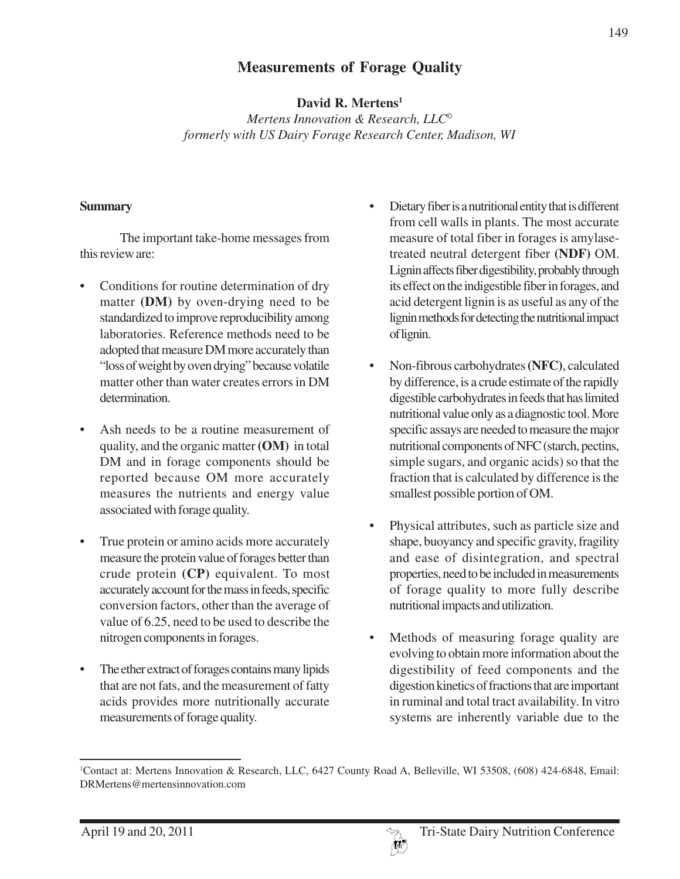# **Measurements of Forage Quality**

**David R. Mertens1**

*Mertens Innovation & Research, LLC© formerly with US Dairy Forage Research Center, Madison, WI*

#### **Summary**

The important take-home messages from this review are:

- Conditions for routine determination of dry matter **(DM)** by oven-drying need to be standardized to improve reproducibility among laboratories. Reference methods need to be adopted that measure DM more accurately than "loss of weight by oven drying" because volatile matter other than water creates errors in DM determination.
- Ash needs to be a routine measurement of quality, and the organic matter **(OM)** in total DM and in forage components should be reported because OM more accurately measures the nutrients and energy value associated with forage quality.
- True protein or amino acids more accurately measure the protein value of forages better than crude protein **(CP)** equivalent. To most accurately account for the mass in feeds, specific conversion factors, other than the average of value of 6.25, need to be used to describe the nitrogen components in forages.
- The ether extract of forages contains many lipids that are not fats, and the measurement of fatty acids provides more nutritionally accurate measurements of forage quality.
- Dietary fiber is a nutritional entity that is different from cell walls in plants. The most accurate measure of total fiber in forages is amylasetreated neutral detergent fiber **(NDF)** OM. Lignin affects fiber digestibility, probably through its effect on the indigestible fiber in forages, and acid detergent lignin is as useful as any of the lignin methods for detecting the nutritional impact of lignin.
- Non-fibrous carbohydrates **(NFC)**, calculated by difference, is a crude estimate of the rapidly digestible carbohydrates in feeds that has limited nutritional value only as a diagnostic tool. More specific assays are needed to measure the major nutritional components of NFC (starch, pectins, simple sugars, and organic acids) so that the fraction that is calculated by difference is the smallest possible portion of OM.
- Physical attributes, such as particle size and shape, buoyancy and specific gravity, fragility and ease of disintegration, and spectral properties, need to be included in measurements of forage quality to more fully describe nutritional impacts and utilization.
- Methods of measuring forage quality are evolving to obtain more information about the digestibility of feed components and the digestion kinetics of fractions that are important in ruminal and total tract availability. In vitro systems are inherently variable due to the



<sup>1</sup> Contact at: Mertens Innovation & Research, LLC, 6427 County Road A, Belleville, WI 53508, (608) 424-6848, Email: DRMertens@mertensinnovation.com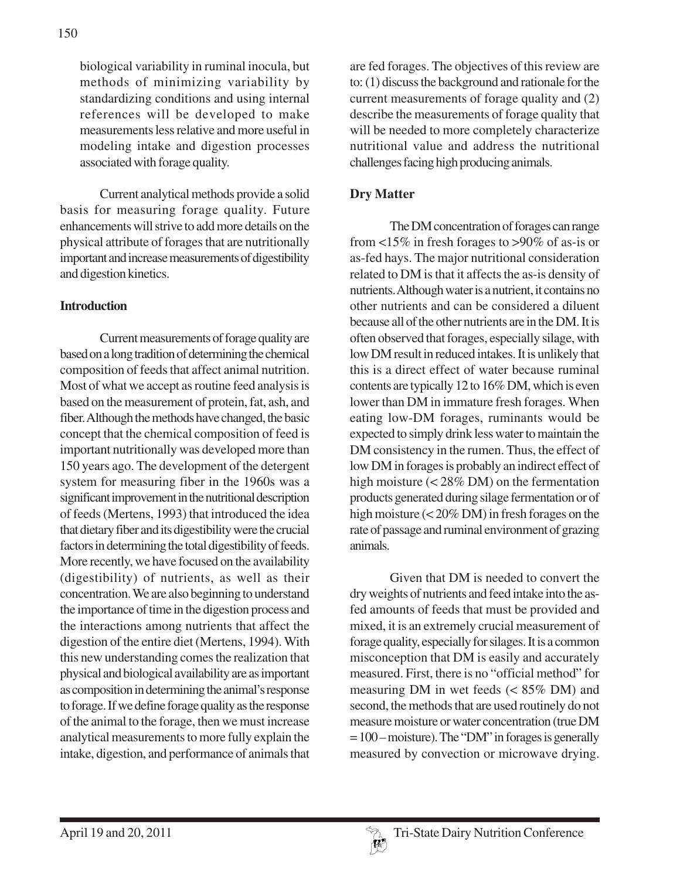biological variability in ruminal inocula, but methods of minimizing variability by standardizing conditions and using internal references will be developed to make measurements less relative and more useful in modeling intake and digestion processes associated with forage quality.

Current analytical methods provide a solid basis for measuring forage quality. Future enhancements will strive to add more details on the physical attribute of forages that are nutritionally important and increase measurements of digestibility and digestion kinetics.

### **Introduction**

Current measurements of forage quality are based on a long tradition of determining the chemical composition of feeds that affect animal nutrition. Most of what we accept as routine feed analysis is based on the measurement of protein, fat, ash, and fiber. Although the methods have changed, the basic concept that the chemical composition of feed is important nutritionally was developed more than 150 years ago. The development of the detergent system for measuring fiber in the 1960s was a significant improvement in the nutritional description of feeds (Mertens, 1993) that introduced the idea that dietary fiber and its digestibility were the crucial factors in determining the total digestibility of feeds. More recently, we have focused on the availability (digestibility) of nutrients, as well as their concentration. We are also beginning to understand the importance of time in the digestion process and the interactions among nutrients that affect the digestion of the entire diet (Mertens, 1994). With this new understanding comes the realization that physical and biological availability are as important as composition in determining the animal's response to forage. If we define forage quality as the response of the animal to the forage, then we must increase analytical measurements to more fully explain the intake, digestion, and performance of animals that are fed forages. The objectives of this review are to: (1) discuss the background and rationale for the current measurements of forage quality and (2) describe the measurements of forage quality that will be needed to more completely characterize nutritional value and address the nutritional challenges facing high producing animals.

### **Dry Matter**

The DM concentration of forages can range from <15% in fresh forages to >90% of as-is or as-fed hays. The major nutritional consideration related to DM is that it affects the as-is density of nutrients. Although water is a nutrient, it contains no other nutrients and can be considered a diluent because all of the other nutrients are in the DM. It is often observed that forages, especially silage, with low DM result in reduced intakes. It is unlikely that this is a direct effect of water because ruminal contents are typically 12 to 16% DM, which is even lower than DM in immature fresh forages. When eating low-DM forages, ruminants would be expected to simply drink less water to maintain the DM consistency in the rumen. Thus, the effect of low DM in forages is probably an indirect effect of high moisture (< 28% DM) on the fermentation products generated during silage fermentation or of high moisture (< 20% DM) in fresh forages on the rate of passage and ruminal environment of grazing animals.

Given that DM is needed to convert the dry weights of nutrients and feed intake into the asfed amounts of feeds that must be provided and mixed, it is an extremely crucial measurement of forage quality, especially for silages. It is a common misconception that DM is easily and accurately measured. First, there is no "official method" for measuring DM in wet feeds (< 85% DM) and second, the methods that are used routinely do not measure moisture or water concentration (true DM  $= 100$  – moisture). The "DM" in forages is generally measured by convection or microwave drying.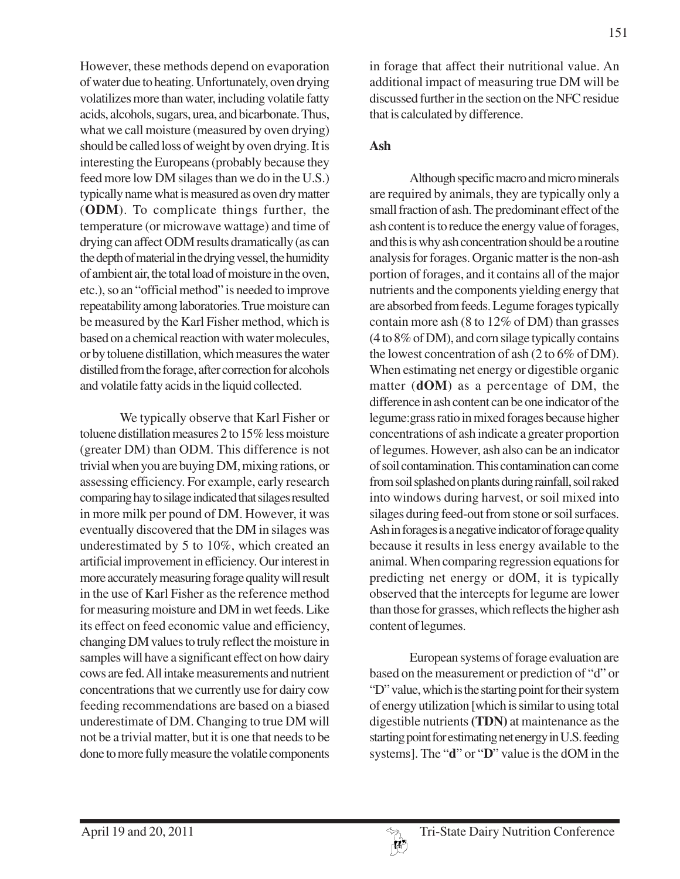However, these methods depend on evaporation of water due to heating. Unfortunately, oven drying volatilizes more than water, including volatile fatty acids, alcohols, sugars, urea, and bicarbonate. Thus, what we call moisture (measured by oven drying) should be called loss of weight by oven drying. It is interesting the Europeans (probably because they feed more low DM silages than we do in the U.S.) typically name what is measured as oven dry matter (**ODM**). To complicate things further, the temperature (or microwave wattage) and time of drying can affect ODM results dramatically (as can the depth of material in the drying vessel, the humidity of ambient air, the total load of moisture in the oven, etc.), so an "official method" is needed to improve repeatability among laboratories. True moisture can be measured by the Karl Fisher method, which is based on a chemical reaction with water molecules, or by toluene distillation, which measures the water distilled from the forage, after correction for alcohols and volatile fatty acids in the liquid collected.

We typically observe that Karl Fisher or toluene distillation measures 2 to 15% less moisture (greater DM) than ODM. This difference is not trivial when you are buying DM, mixing rations, or assessing efficiency. For example, early research comparing hay to silage indicated that silages resulted in more milk per pound of DM. However, it was eventually discovered that the DM in silages was underestimated by 5 to 10%, which created an artificial improvement in efficiency. Our interest in more accurately measuring forage quality will result in the use of Karl Fisher as the reference method for measuring moisture and DM in wet feeds. Like its effect on feed economic value and efficiency, changing DM values to truly reflect the moisture in samples will have a significant effect on how dairy cows are fed. All intake measurements and nutrient concentrations that we currently use for dairy cow feeding recommendations are based on a biased underestimate of DM. Changing to true DM will not be a trivial matter, but it is one that needs to be done to more fully measure the volatile components

in forage that affect their nutritional value. An additional impact of measuring true DM will be discussed further in the section on the NFC residue that is calculated by difference.

## **Ash**

Although specific macro and micro minerals are required by animals, they are typically only a small fraction of ash. The predominant effect of the ash content is to reduce the energy value of forages, and this is why ash concentration should be a routine analysis for forages. Organic matter is the non-ash portion of forages, and it contains all of the major nutrients and the components yielding energy that are absorbed from feeds. Legume forages typically contain more ash (8 to 12% of DM) than grasses (4 to 8% of DM), and corn silage typically contains the lowest concentration of ash (2 to 6% of DM). When estimating net energy or digestible organic matter (**dOM**) as a percentage of DM, the difference in ash content can be one indicator of the legume:grass ratio in mixed forages because higher concentrations of ash indicate a greater proportion of legumes. However, ash also can be an indicator of soil contamination. This contamination can come from soil splashed on plants during rainfall, soil raked into windows during harvest, or soil mixed into silages during feed-out from stone or soil surfaces. Ash in forages is a negative indicator of forage quality because it results in less energy available to the animal. When comparing regression equations for predicting net energy or dOM, it is typically observed that the intercepts for legume are lower than those for grasses, which reflects the higher ash content of legumes.

European systems of forage evaluation are based on the measurement or prediction of "d" or "D" value, which is the starting point for their system of energy utilization [which is similar to using total digestible nutrients **(TDN)** at maintenance as the starting point for estimating net energy in U.S. feeding systems]. The "**d**" or "**D**" value is the dOM in the

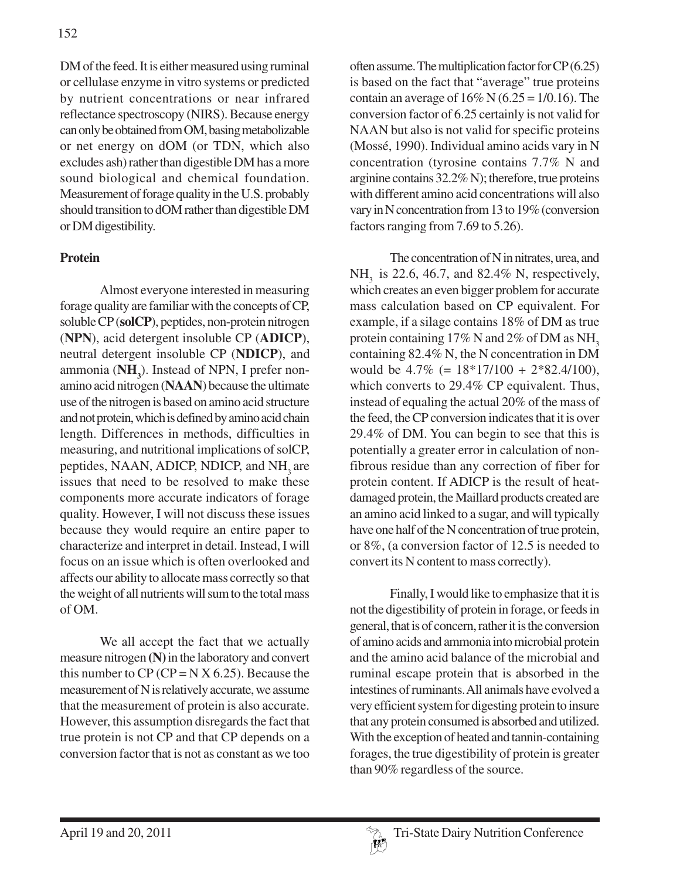DM of the feed. It is either measured using ruminal or cellulase enzyme in vitro systems or predicted by nutrient concentrations or near infrared reflectance spectroscopy (NIRS). Because energy can only be obtained from OM, basing metabolizable or net energy on dOM (or TDN, which also excludes ash) rather than digestible DM has a more sound biological and chemical foundation. Measurement of forage quality in the U.S. probably should transition to dOM rather than digestible DM or DM digestibility.

## **Protein**

Almost everyone interested in measuring forage quality are familiar with the concepts of CP, soluble CP (**solCP**), peptides, non-protein nitrogen (**NPN**), acid detergent insoluble CP (**ADICP**), neutral detergent insoluble CP (**NDICP**), and ammonia (**NH**<sub>3</sub>). Instead of NPN, I prefer nonamino acid nitrogen (**NAAN**) because the ultimate use of the nitrogen is based on amino acid structure and not protein, which is defined by amino acid chain length. Differences in methods, difficulties in measuring, and nutritional implications of solCP, peptides, NAAN, ADICP, NDICP, and NH<sub>2</sub> are issues that need to be resolved to make these components more accurate indicators of forage quality. However, I will not discuss these issues because they would require an entire paper to characterize and interpret in detail. Instead, I will focus on an issue which is often overlooked and affects our ability to allocate mass correctly so that the weight of all nutrients will sum to the total mass of OM.

We all accept the fact that we actually measure nitrogen **(N)** in the laboratory and convert this number to  $CP$  ( $CP = N X 6.25$ ). Because the measurement of N is relatively accurate, we assume that the measurement of protein is also accurate. However, this assumption disregards the fact that true protein is not CP and that CP depends on a conversion factor that is not as constant as we too

often assume. The multiplication factor for CP (6.25) is based on the fact that "average" true proteins contain an average of  $16\%$  N (6.25 = 1/0.16). The conversion factor of 6.25 certainly is not valid for NAAN but also is not valid for specific proteins (Mossé, 1990). Individual amino acids vary in N concentration (tyrosine contains 7.7% N and arginine contains 32.2% N); therefore, true proteins with different amino acid concentrations will also vary in N concentration from 13 to 19% (conversion factors ranging from 7.69 to 5.26).

The concentration of N in nitrates, urea, and NH<sub>2</sub> is 22.6, 46.7, and 82.4% N, respectively, which creates an even bigger problem for accurate mass calculation based on CP equivalent. For example, if a silage contains 18% of DM as true protein containing  $17\%$  N and  $2\%$  of DM as NH<sub>3</sub> containing 82.4% N, the N concentration in DM would be 4.7% (= 18\*17/100 + 2\*82.4/100), which converts to 29.4% CP equivalent. Thus, instead of equaling the actual 20% of the mass of the feed, the CP conversion indicates that it is over 29.4% of DM. You can begin to see that this is potentially a greater error in calculation of nonfibrous residue than any correction of fiber for protein content. If ADICP is the result of heatdamaged protein, the Maillard products created are an amino acid linked to a sugar, and will typically have one half of the N concentration of true protein, or 8%, (a conversion factor of 12.5 is needed to convert its N content to mass correctly).

Finally, I would like to emphasize that it is not the digestibility of protein in forage, or feeds in general, that is of concern, rather it is the conversion of amino acids and ammonia into microbial protein and the amino acid balance of the microbial and ruminal escape protein that is absorbed in the intestines of ruminants. All animals have evolved a very efficient system for digesting protein to insure that any protein consumed is absorbed and utilized. With the exception of heated and tannin-containing forages, the true digestibility of protein is greater than 90% regardless of the source.

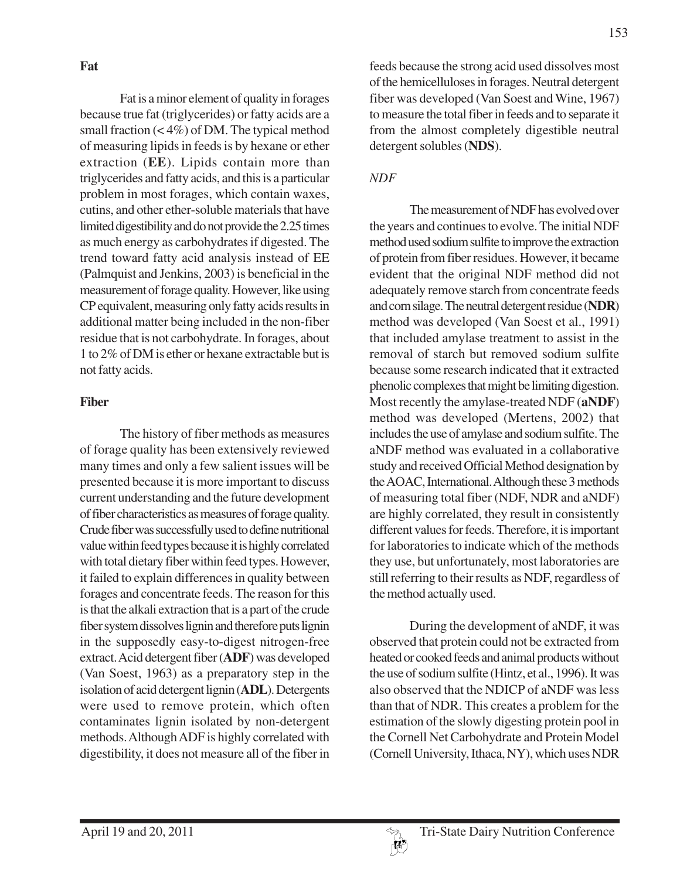Fat is a minor element of quality in forages because true fat (triglycerides) or fatty acids are a small fraction  $(< 4\%)$  of DM. The typical method of measuring lipids in feeds is by hexane or ether extraction (**EE**). Lipids contain more than triglycerides and fatty acids, and this is a particular problem in most forages, which contain waxes, cutins, and other ether-soluble materials that have limited digestibility and do not provide the 2.25 times as much energy as carbohydrates if digested. The trend toward fatty acid analysis instead of EE (Palmquist and Jenkins, 2003) is beneficial in the measurement of forage quality. However, like using CP equivalent, measuring only fatty acids results in additional matter being included in the non-fiber residue that is not carbohydrate. In forages, about 1 to 2% of DM is ether or hexane extractable but is not fatty acids.

## **Fiber**

The history of fiber methods as measures of forage quality has been extensively reviewed many times and only a few salient issues will be presented because it is more important to discuss current understanding and the future development of fiber characteristics as measures of forage quality. Crude fiber was successfully used to define nutritional value within feed types because it is highly correlated with total dietary fiber within feed types. However, it failed to explain differences in quality between forages and concentrate feeds. The reason for this is that the alkali extraction that is a part of the crude fiber system dissolves lignin and therefore puts lignin in the supposedly easy-to-digest nitrogen-free extract. Acid detergent fiber (**ADF**) was developed (Van Soest, 1963) as a preparatory step in the isolation of acid detergent lignin (**ADL**). Detergents were used to remove protein, which often contaminates lignin isolated by non-detergent methods. Although ADF is highly correlated with digestibility, it does not measure all of the fiber in

feeds because the strong acid used dissolves most of the hemicelluloses in forages. Neutral detergent fiber was developed (Van Soest and Wine, 1967) to measure the total fiber in feeds and to separate it from the almost completely digestible neutral detergent solubles (**NDS**).

## *NDF*

The measurement of NDF has evolved over the years and continues to evolve. The initial NDF method used sodium sulfite to improve the extraction of protein from fiber residues. However, it became evident that the original NDF method did not adequately remove starch from concentrate feeds and corn silage. The neutral detergent residue (**NDR**) method was developed (Van Soest et al., 1991) that included amylase treatment to assist in the removal of starch but removed sodium sulfite because some research indicated that it extracted phenolic complexes that might be limiting digestion. Most recently the amylase-treated NDF (**aNDF**) method was developed (Mertens, 2002) that includes the use of amylase and sodium sulfite. The aNDF method was evaluated in a collaborative study and received Official Method designation by the AOAC, International. Although these 3 methods of measuring total fiber (NDF, NDR and aNDF) are highly correlated, they result in consistently different values for feeds. Therefore, it is important for laboratories to indicate which of the methods they use, but unfortunately, most laboratories are still referring to their results as NDF, regardless of the method actually used.

During the development of aNDF, it was observed that protein could not be extracted from heated or cooked feeds and animal products without the use of sodium sulfite (Hintz, et al., 1996). It was also observed that the NDICP of aNDF was less than that of NDR. This creates a problem for the estimation of the slowly digesting protein pool in the Cornell Net Carbohydrate and Protein Model (Cornell University, Ithaca, NY), which uses NDR

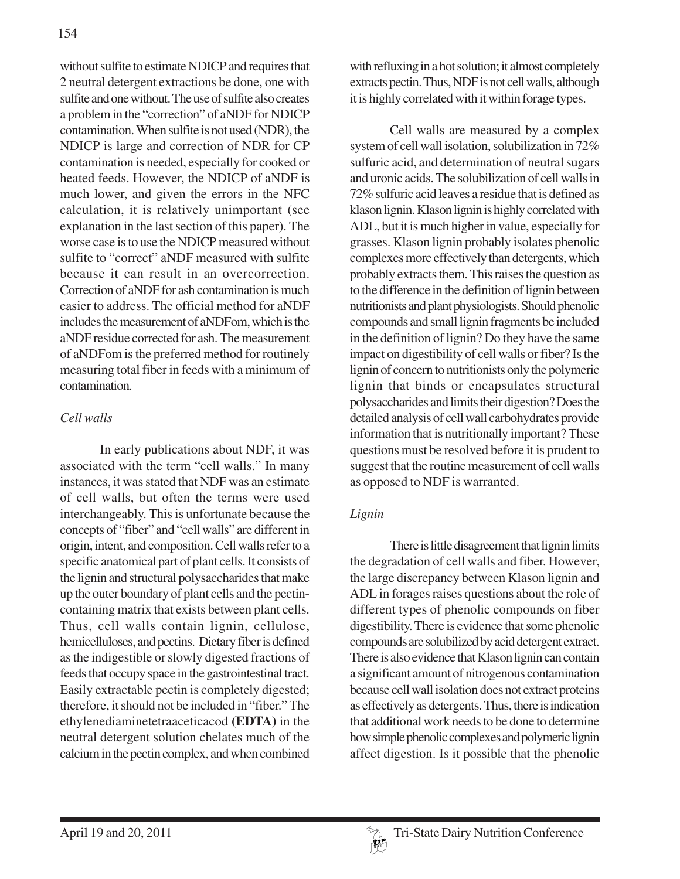without sulfite to estimate NDICP and requires that 2 neutral detergent extractions be done, one with sulfite and one without. The use of sulfite also creates a problem in the "correction" of aNDF for NDICP contamination. When sulfite is not used (NDR), the NDICP is large and correction of NDR for CP contamination is needed, especially for cooked or heated feeds. However, the NDICP of aNDF is much lower, and given the errors in the NFC calculation, it is relatively unimportant (see explanation in the last section of this paper). The worse case is to use the NDICP measured without sulfite to "correct" aNDF measured with sulfite because it can result in an overcorrection. Correction of aNDF for ash contamination is much easier to address. The official method for aNDF includes the measurement of aNDFom, which is the aNDF residue corrected for ash. The measurement of aNDFom is the preferred method for routinely measuring total fiber in feeds with a minimum of contamination.

### *Cell walls*

In early publications about NDF, it was associated with the term "cell walls." In many instances, it was stated that NDF was an estimate of cell walls, but often the terms were used interchangeably. This is unfortunate because the concepts of "fiber" and "cell walls" are different in origin, intent, and composition. Cell walls refer to a specific anatomical part of plant cells. It consists of the lignin and structural polysaccharides that make up the outer boundary of plant cells and the pectincontaining matrix that exists between plant cells. Thus, cell walls contain lignin, cellulose, hemicelluloses, and pectins. Dietary fiber is defined as the indigestible or slowly digested fractions of feeds that occupy space in the gastrointestinal tract. Easily extractable pectin is completely digested; therefore, it should not be included in "fiber." The ethylenediaminetetraaceticacod **(EDTA)** in the neutral detergent solution chelates much of the calcium in the pectin complex, and when combined

with refluxing in a hot solution; it almost completely extracts pectin. Thus, NDF is not cell walls, although it is highly correlated with it within forage types.

Cell walls are measured by a complex system of cell wall isolation, solubilization in 72% sulfuric acid, and determination of neutral sugars and uronic acids. The solubilization of cell walls in 72% sulfuric acid leaves a residue that is defined as klason lignin. Klason lignin is highly correlated with ADL, but it is much higher in value, especially for grasses. Klason lignin probably isolates phenolic complexes more effectively than detergents, which probably extracts them. This raises the question as to the difference in the definition of lignin between nutritionists and plant physiologists. Should phenolic compounds and small lignin fragments be included in the definition of lignin? Do they have the same impact on digestibility of cell walls or fiber? Is the lignin of concern to nutritionists only the polymeric lignin that binds or encapsulates structural polysaccharides and limits their digestion? Does the detailed analysis of cell wall carbohydrates provide information that is nutritionally important? These questions must be resolved before it is prudent to suggest that the routine measurement of cell walls as opposed to NDF is warranted.

# *Lignin*

There is little disagreement that lignin limits the degradation of cell walls and fiber. However, the large discrepancy between Klason lignin and ADL in forages raises questions about the role of different types of phenolic compounds on fiber digestibility. There is evidence that some phenolic compounds are solubilized by acid detergent extract. There is also evidence that Klason lignin can contain a significant amount of nitrogenous contamination because cell wall isolation does not extract proteins as effectively as detergents. Thus, there is indication that additional work needs to be done to determine how simple phenolic complexes and polymeric lignin affect digestion. Is it possible that the phenolic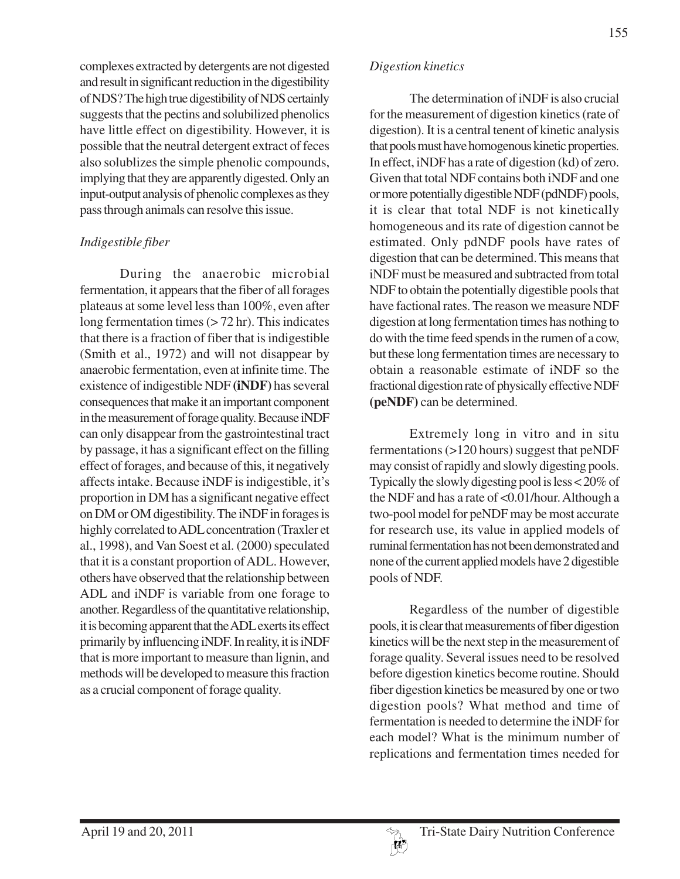complexes extracted by detergents are not digested and result in significant reduction in the digestibility of NDS? The high true digestibility of NDS certainly suggests that the pectins and solubilized phenolics have little effect on digestibility. However, it is possible that the neutral detergent extract of feces also solublizes the simple phenolic compounds, implying that they are apparently digested. Only an input-output analysis of phenolic complexes as they pass through animals can resolve this issue.

#### *Indigestible fiber*

During the anaerobic microbial fermentation, it appears that the fiber of all forages plateaus at some level less than 100%, even after long fermentation times  $($ >72 hr). This indicates that there is a fraction of fiber that is indigestible (Smith et al., 1972) and will not disappear by anaerobic fermentation, even at infinite time. The existence of indigestible NDF **(iNDF)** has several consequences that make it an important component in the measurement of forage quality. Because iNDF can only disappear from the gastrointestinal tract by passage, it has a significant effect on the filling effect of forages, and because of this, it negatively affects intake. Because iNDF is indigestible, it's proportion in DM has a significant negative effect on DM or OM digestibility. The iNDF in forages is highly correlated to ADL concentration (Traxler et al., 1998), and Van Soest et al. (2000) speculated that it is a constant proportion of ADL. However, others have observed that the relationship between ADL and iNDF is variable from one forage to another. Regardless of the quantitative relationship, it is becoming apparent that the ADL exerts its effect primarily by influencing iNDF. In reality, it is iNDF that is more important to measure than lignin, and methods will be developed to measure this fraction as a crucial component of forage quality.

#### *Digestion kinetics*

The determination of iNDF is also crucial for the measurement of digestion kinetics (rate of digestion). It is a central tenent of kinetic analysis that pools must have homogenous kinetic properties. In effect, iNDF has a rate of digestion (kd) of zero. Given that total NDF contains both iNDF and one or more potentially digestible NDF (pdNDF) pools, it is clear that total NDF is not kinetically homogeneous and its rate of digestion cannot be estimated. Only pdNDF pools have rates of digestion that can be determined. This means that iNDF must be measured and subtracted from total NDF to obtain the potentially digestible pools that have factional rates. The reason we measure NDF digestion at long fermentation times has nothing to do with the time feed spends in the rumen of a cow, but these long fermentation times are necessary to obtain a reasonable estimate of iNDF so the fractional digestion rate of physically effective NDF **(peNDF)** can be determined.

Extremely long in vitro and in situ fermentations (>120 hours) suggest that peNDF may consist of rapidly and slowly digesting pools. Typically the slowly digesting pool is less < 20% of the NDF and has a rate of <0.01/hour. Although a two-pool model for peNDF may be most accurate for research use, its value in applied models of ruminal fermentation has not been demonstrated and none of the current applied models have 2 digestible pools of NDF.

Regardless of the number of digestible pools, it is clear that measurements of fiber digestion kinetics will be the next step in the measurement of forage quality. Several issues need to be resolved before digestion kinetics become routine. Should fiber digestion kinetics be measured by one or two digestion pools? What method and time of fermentation is needed to determine the iNDF for each model? What is the minimum number of replications and fermentation times needed for

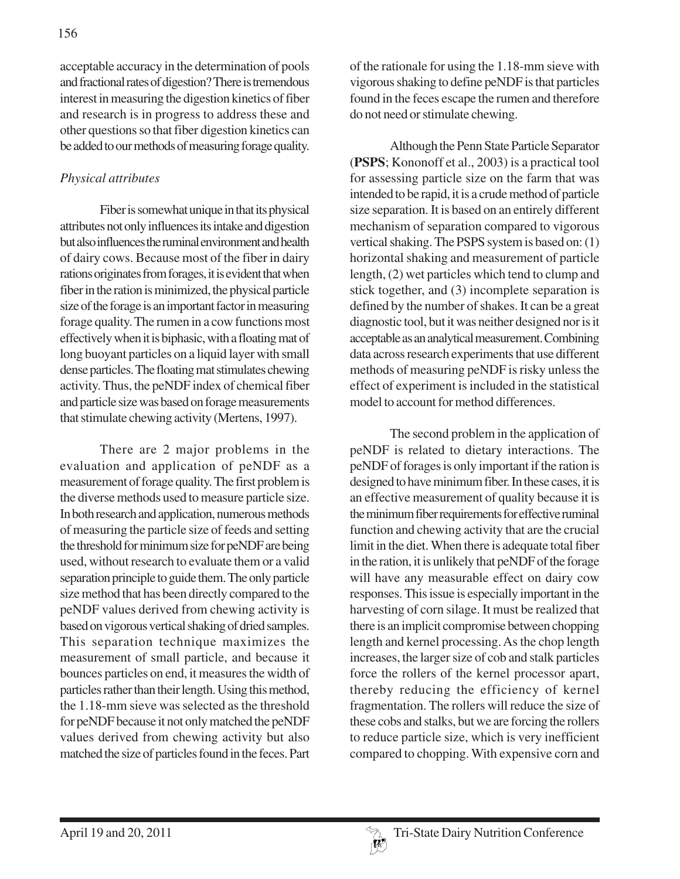acceptable accuracy in the determination of pools and fractional rates of digestion? There is tremendous interest in measuring the digestion kinetics of fiber and research is in progress to address these and other questions so that fiber digestion kinetics can be added to our methods of measuring forage quality.

# *Physical attributes*

Fiber is somewhat unique in that its physical attributes not only influences its intake and digestion but also influences the ruminal environment and health of dairy cows. Because most of the fiber in dairy rations originates from forages, it is evident that when fiber in the ration is minimized, the physical particle size of the forage is an important factor in measuring forage quality. The rumen in a cow functions most effectively when it is biphasic, with a floating mat of long buoyant particles on a liquid layer with small dense particles. The floating mat stimulates chewing activity. Thus, the peNDF index of chemical fiber and particle size was based on forage measurements that stimulate chewing activity (Mertens, 1997).

There are 2 major problems in the evaluation and application of peNDF as a measurement of forage quality. The first problem is the diverse methods used to measure particle size. In both research and application, numerous methods of measuring the particle size of feeds and setting the threshold for minimum size for peNDF are being used, without research to evaluate them or a valid separation principle to guide them. The only particle size method that has been directly compared to the peNDF values derived from chewing activity is based on vigorous vertical shaking of dried samples. This separation technique maximizes the measurement of small particle, and because it bounces particles on end, it measures the width of particles rather than their length. Using this method, the 1.18-mm sieve was selected as the threshold for peNDF because it not only matched the peNDF values derived from chewing activity but also matched the size of particles found in the feces. Part of the rationale for using the 1.18-mm sieve with vigorous shaking to define peNDF is that particles found in the feces escape the rumen and therefore do not need or stimulate chewing.

Although the Penn State Particle Separator (**PSPS**; Kononoff et al., 2003) is a practical tool for assessing particle size on the farm that was intended to be rapid, it is a crude method of particle size separation. It is based on an entirely different mechanism of separation compared to vigorous vertical shaking. The PSPS system is based on: (1) horizontal shaking and measurement of particle length, (2) wet particles which tend to clump and stick together, and (3) incomplete separation is defined by the number of shakes. It can be a great diagnostic tool, but it was neither designed nor is it acceptable as an analytical measurement. Combining data across research experiments that use different methods of measuring peNDF is risky unless the effect of experiment is included in the statistical model to account for method differences.

The second problem in the application of peNDF is related to dietary interactions. The peNDF of forages is only important if the ration is designed to have minimum fiber. In these cases, it is an effective measurement of quality because it is the minimum fiber requirements for effective ruminal function and chewing activity that are the crucial limit in the diet. When there is adequate total fiber in the ration, it is unlikely that peNDF of the forage will have any measurable effect on dairy cow responses. This issue is especially important in the harvesting of corn silage. It must be realized that there is an implicit compromise between chopping length and kernel processing. As the chop length increases, the larger size of cob and stalk particles force the rollers of the kernel processor apart, thereby reducing the efficiency of kernel fragmentation. The rollers will reduce the size of these cobs and stalks, but we are forcing the rollers to reduce particle size, which is very inefficient compared to chopping. With expensive corn and

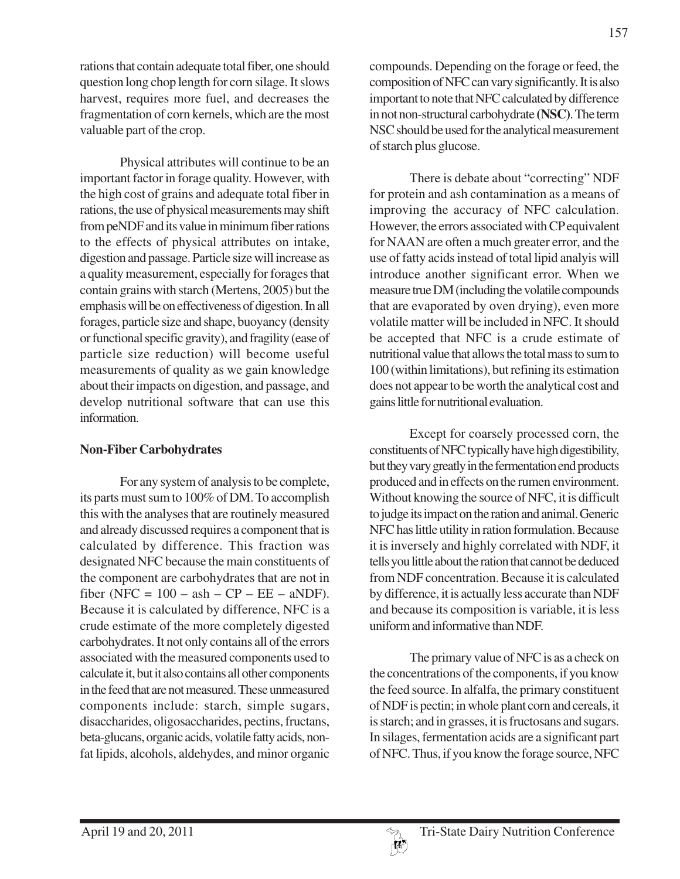rations that contain adequate total fiber, one should question long chop length for corn silage. It slows harvest, requires more fuel, and decreases the fragmentation of corn kernels, which are the most valuable part of the crop.

Physical attributes will continue to be an important factor in forage quality. However, with the high cost of grains and adequate total fiber in rations, the use of physical measurements may shift from peNDF and its value in minimum fiber rations to the effects of physical attributes on intake, digestion and passage. Particle size will increase as a quality measurement, especially for forages that contain grains with starch (Mertens, 2005) but the emphasis will be on effectiveness of digestion. In all forages, particle size and shape, buoyancy (density or functional specific gravity), and fragility (ease of particle size reduction) will become useful measurements of quality as we gain knowledge about their impacts on digestion, and passage, and develop nutritional software that can use this information.

### **Non-Fiber Carbohydrates**

For any system of analysis to be complete, its parts must sum to 100% of DM. To accomplish this with the analyses that are routinely measured and already discussed requires a component that is calculated by difference. This fraction was designated NFC because the main constituents of the component are carbohydrates that are not in fiber (NFC =  $100 - ash - CP - EE - aNDF$ ). Because it is calculated by difference, NFC is a crude estimate of the more completely digested carbohydrates. It not only contains all of the errors associated with the measured components used to calculate it, but it also contains all other components in the feed that are not measured. These unmeasured components include: starch, simple sugars, disaccharides, oligosaccharides, pectins, fructans, beta-glucans, organic acids, volatile fatty acids, nonfat lipids, alcohols, aldehydes, and minor organic

compounds. Depending on the forage or feed, the composition of NFC can vary significantly. It is also important to note that NFC calculated by difference in not non-structural carbohydrate **(NSC)**. The term NSC should be used for the analytical measurement of starch plus glucose.

There is debate about "correcting" NDF for protein and ash contamination as a means of improving the accuracy of NFC calculation. However, the errors associated with CP equivalent for NAAN are often a much greater error, and the use of fatty acids instead of total lipid analyis will introduce another significant error. When we measure true DM (including the volatile compounds that are evaporated by oven drying), even more volatile matter will be included in NFC. It should be accepted that NFC is a crude estimate of nutritional value that allows the total mass to sum to 100 (within limitations), but refining its estimation does not appear to be worth the analytical cost and gains little for nutritional evaluation.

Except for coarsely processed corn, the constituents of NFC typically have high digestibility, but they vary greatly in the fermentation end products produced and in effects on the rumen environment. Without knowing the source of NFC, it is difficult to judge its impact on the ration and animal. Generic NFC has little utility in ration formulation. Because it is inversely and highly correlated with NDF, it tells you little about the ration that cannot be deduced from NDF concentration. Because it is calculated by difference, it is actually less accurate than NDF and because its composition is variable, it is less uniform and informative than NDF.

The primary value of NFC is as a check on the concentrations of the components, if you know the feed source. In alfalfa, the primary constituent of NDF is pectin; in whole plant corn and cereals, it is starch; and in grasses, it is fructosans and sugars. In silages, fermentation acids are a significant part of NFC. Thus, if you know the forage source, NFC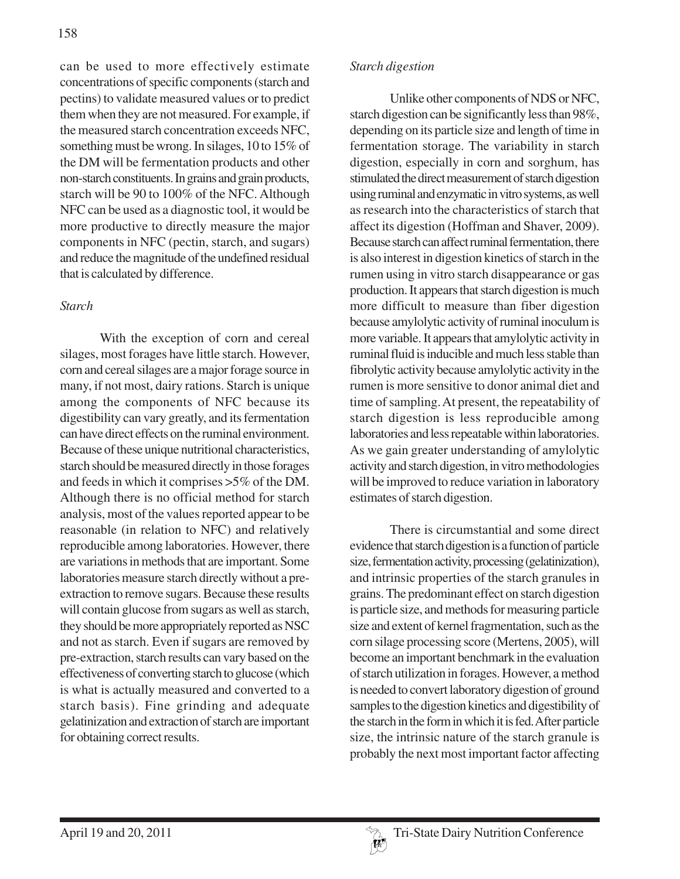can be used to more effectively estimate concentrations of specific components (starch and pectins) to validate measured values or to predict them when they are not measured. For example, if the measured starch concentration exceeds NFC, something must be wrong. In silages, 10 to 15% of the DM will be fermentation products and other non-starch constituents. In grains and grain products, starch will be 90 to 100% of the NFC. Although NFC can be used as a diagnostic tool, it would be more productive to directly measure the major components in NFC (pectin, starch, and sugars) and reduce the magnitude of the undefined residual that is calculated by difference.

### *Starch*

With the exception of corn and cereal silages, most forages have little starch. However, corn and cereal silages are a major forage source in many, if not most, dairy rations. Starch is unique among the components of NFC because its digestibility can vary greatly, and its fermentation can have direct effects on the ruminal environment. Because of these unique nutritional characteristics, starch should be measured directly in those forages and feeds in which it comprises >5% of the DM. Although there is no official method for starch analysis, most of the values reported appear to be reasonable (in relation to NFC) and relatively reproducible among laboratories. However, there are variations in methods that are important. Some laboratories measure starch directly without a preextraction to remove sugars. Because these results will contain glucose from sugars as well as starch, they should be more appropriately reported as NSC and not as starch. Even if sugars are removed by pre-extraction, starch results can vary based on the effectiveness of converting starch to glucose (which is what is actually measured and converted to a starch basis). Fine grinding and adequate gelatinization and extraction of starch are important for obtaining correct results.

### *Starch digestion*

Unlike other components of NDS or NFC, starch digestion can be significantly less than 98%, depending on its particle size and length of time in fermentation storage. The variability in starch digestion, especially in corn and sorghum, has stimulated the direct measurement of starch digestion using ruminal and enzymatic in vitro systems, as well as research into the characteristics of starch that affect its digestion (Hoffman and Shaver, 2009). Because starch can affect ruminal fermentation, there is also interest in digestion kinetics of starch in the rumen using in vitro starch disappearance or gas production. It appears that starch digestion is much more difficult to measure than fiber digestion because amylolytic activity of ruminal inoculum is more variable. It appears that amylolytic activity in ruminal fluid is inducible and much less stable than fibrolytic activity because amylolytic activity in the rumen is more sensitive to donor animal diet and time of sampling. At present, the repeatability of starch digestion is less reproducible among laboratories and less repeatable within laboratories. As we gain greater understanding of amylolytic activity and starch digestion, in vitro methodologies will be improved to reduce variation in laboratory estimates of starch digestion.

There is circumstantial and some direct evidence that starch digestion is a function of particle size, fermentation activity, processing (gelatinization), and intrinsic properties of the starch granules in grains. The predominant effect on starch digestion is particle size, and methods for measuring particle size and extent of kernel fragmentation, such as the corn silage processing score (Mertens, 2005), will become an important benchmark in the evaluation of starch utilization in forages. However, a method is needed to convert laboratory digestion of ground samples to the digestion kinetics and digestibility of the starch in the form in which it is fed. After particle size, the intrinsic nature of the starch granule is probably the next most important factor affecting

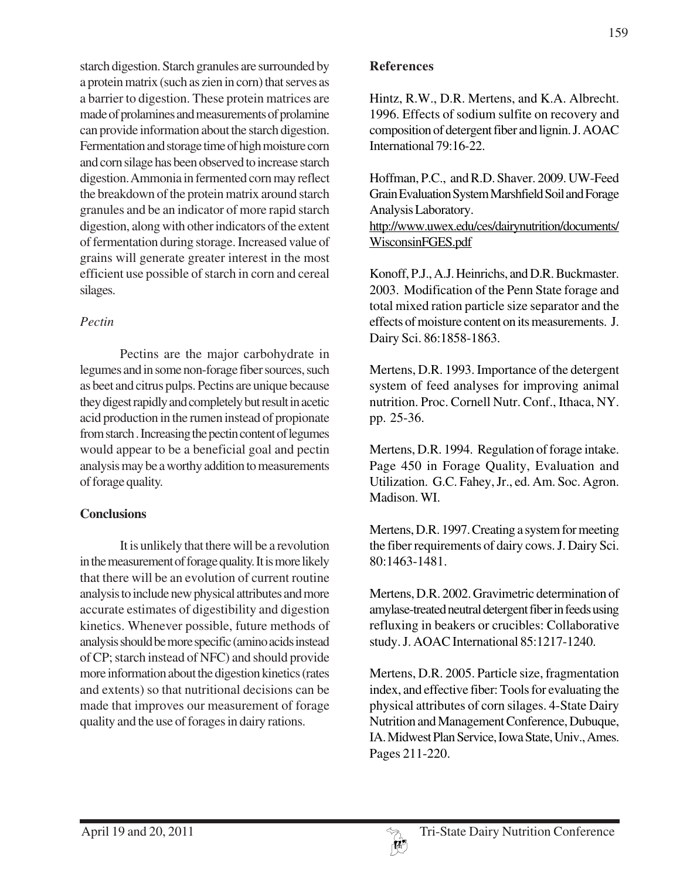starch digestion. Starch granules are surrounded by a protein matrix (such as zien in corn) that serves as a barrier to digestion. These protein matrices are made of prolamines and measurements of prolamine can provide information about the starch digestion. Fermentation and storage time of high moisture corn and corn silage has been observed to increase starch digestion. Ammonia in fermented corn may reflect the breakdown of the protein matrix around starch granules and be an indicator of more rapid starch digestion, along with other indicators of the extent of fermentation during storage. Increased value of grains will generate greater interest in the most efficient use possible of starch in corn and cereal silages.

# *Pectin*

Pectins are the major carbohydrate in legumes and in some non-forage fiber sources, such as beet and citrus pulps. Pectins are unique because they digest rapidly and completely but result in acetic acid production in the rumen instead of propionate from starch . Increasing the pectin content of legumes would appear to be a beneficial goal and pectin analysis may be a worthy addition to measurements of forage quality.

# **Conclusions**

It is unlikely that there will be a revolution in the measurement of forage quality. It is more likely that there will be an evolution of current routine analysis to include new physical attributes and more accurate estimates of digestibility and digestion kinetics. Whenever possible, future methods of analysis should be more specific (amino acids instead of CP; starch instead of NFC) and should provide more information about the digestion kinetics (rates and extents) so that nutritional decisions can be made that improves our measurement of forage quality and the use of forages in dairy rations.

## **References**

Hintz, R.W., D.R. Mertens, and K.A. Albrecht. 1996. Effects of sodium sulfite on recovery and composition of detergent fiber and lignin. J. AOAC International 79:16-22.

Hoffman, P.C., and R.D. Shaver. 2009. UW-Feed Grain Evaluation System Marshfield Soil and Forage Analysis Laboratory.

http://www.uwex.edu/ces/dairynutrition/documents/ WisconsinFGES.pdf

Konoff, P.J., A.J. Heinrichs, and D.R. Buckmaster. 2003. Modification of the Penn State forage and total mixed ration particle size separator and the effects of moisture content on its measurements. J. Dairy Sci. 86:1858-1863.

Mertens, D.R. 1993. Importance of the detergent system of feed analyses for improving animal nutrition. Proc. Cornell Nutr. Conf., Ithaca, NY. pp. 25-36.

Mertens, D.R. 1994. Regulation of forage intake. Page 450 in Forage Quality, Evaluation and Utilization. G.C. Fahey, Jr., ed. Am. Soc. Agron. Madison. WI.

Mertens, D.R. 1997. Creating a system for meeting the fiber requirements of dairy cows. J. Dairy Sci. 80:1463-1481.

Mertens, D.R. 2002. Gravimetric determination of amylase-treated neutral detergent fiber in feeds using refluxing in beakers or crucibles: Collaborative study. J. AOAC International 85:1217-1240.

Mertens, D.R. 2005. Particle size, fragmentation index, and effective fiber: Tools for evaluating the physical attributes of corn silages. 4-State Dairy Nutrition and Management Conference, Dubuque, IA. Midwest Plan Service, Iowa State, Univ., Ames. Pages 211-220.